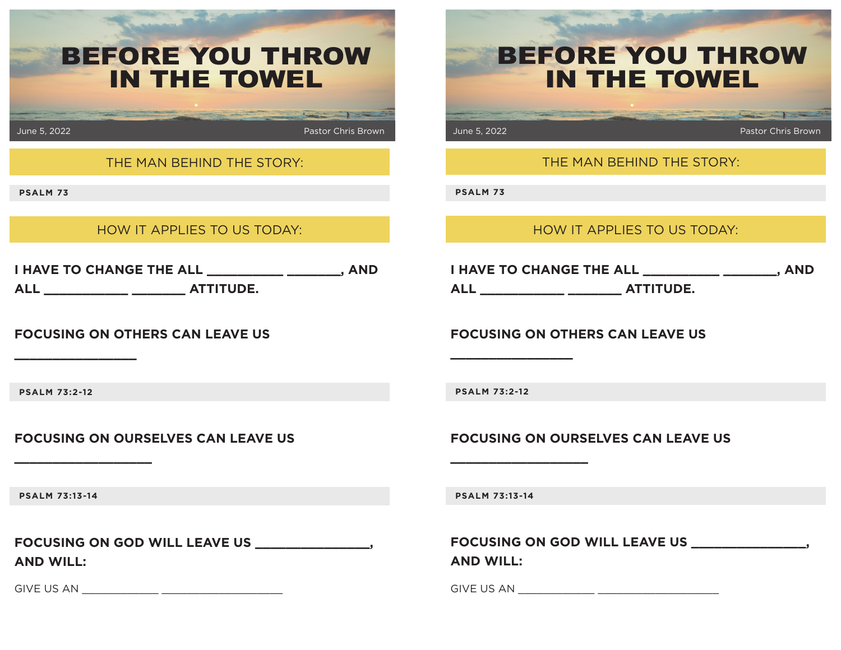| <b>BEFORE YOU THROW</b><br><b>IN THE TOWEL</b>                                               | <b>BEFORE YOU THROW</b><br><b>IN THE TOWEL</b>                                            |
|----------------------------------------------------------------------------------------------|-------------------------------------------------------------------------------------------|
| June 5, 2022<br><b>Pastor Chris Brown</b>                                                    | June 5, 2022<br><b>Pastor Chris Brown</b>                                                 |
| THE MAN BEHIND THE STORY:                                                                    | THE MAN BEHIND THE STORY:                                                                 |
| <b>PSALM 73</b>                                                                              | <b>PSALM 73</b>                                                                           |
| HOW IT APPLIES TO US TODAY:                                                                  | HOW IT APPLIES TO US TODAY:                                                               |
| I HAVE TO CHANGE THE ALL ____________ ________, AND<br>ALL _____________ _________ ATTITUDE. | I HAVE TO CHANGE THE ALL ___________ _______, AND<br>ALL ____________ _________ ATTITUDE. |
| <b>FOCUSING ON OTHERS CAN LEAVE US</b>                                                       | <b>FOCUSING ON OTHERS CAN LEAVE US</b>                                                    |
| <b>PSALM 73:2-12</b>                                                                         | <b>PSALM 73:2-12</b>                                                                      |
| <b>FOCUSING ON OURSELVES CAN LEAVE US</b>                                                    | <b>FOCUSING ON OURSELVES CAN LEAVE US</b>                                                 |
| <b>PSALM 73:13-14</b>                                                                        | <b>PSALM 73:13-14</b>                                                                     |
| <b>AND WILL:</b>                                                                             | <b>AND WILL:</b>                                                                          |
|                                                                                              |                                                                                           |